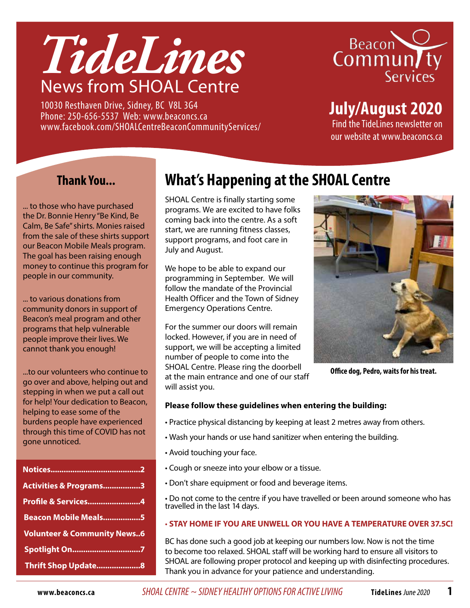

10030 Resthaven Drive, Sidney, BC V8L 3G4 Phone: 250-656-5537 Web: www.beaconcs.ca www.facebook.com/SHOALCentreBeaconCommunityServices/



**July/August 2020**

Find the TideLines newsletter on our website at www.beaconcs.ca

## **Thank You...**

... to those who have purchased the Dr. Bonnie Henry "Be Kind, Be Calm, Be Safe" shirts. Monies raised from the sale of these shirts support our Beacon Mobile Meals program. The goal has been raising enough money to continue this program for people in our community.

... to various donations from community donors in support of Beacon's meal program and other programs that help vulnerable people improve their lives. We cannot thank you enough!

...to our volunteers who continue to go over and above, helping out and stepping in when we put a call out for help! Your dedication to Beacon, helping to ease some of the burdens people have experienced through this time of COVID has not gone unnoticed.

| Activities & Programs3                 |
|----------------------------------------|
| <b>Profile &amp; Services4</b>         |
| <b>Beacon Mobile Meals5</b>            |
| <b>Volunteer &amp; Community News6</b> |
| Spotlight On7                          |
| Thrift Shop Update 8                   |

# **What's Happening at the SHOAL Centre**

SHOAL Centre is finally starting some programs. We are excited to have folks coming back into the centre. As a soft start, we are running fitness classes, support programs, and foot care in July and August.

We hope to be able to expand our programming in September. We will follow the mandate of the Provincial Health Officer and the Town of Sidney Emergency Operations Centre.

For the summer our doors will remain locked. However, if you are in need of support, we will be accepting a limited number of people to come into the SHOAL Centre. Please ring the doorbell at the main entrance and one of our staff will assist you.



**Office dog, Pedro, waits for his treat.** 

#### **Please follow these guidelines when entering the building:**

- Practice physical distancing by keeping at least 2 metres away from others.
- Wash your hands or use hand sanitizer when entering the building.
- Avoid touching your face.
- Cough or sneeze into your elbow or a tissue.
- Don't share equipment or food and beverage items.

• Do not come to the centre if you have travelled or been around someone who has travelled in the last 14 days.

#### • **STAY HOME IF YOU ARE UNWELL OR YOU HAVE A TEMPERATURE OVER 37.5C!**

BC has done such a good job at keeping our numbers low. Now is not the time to become too relaxed. SHOAL staff will be working hard to ensure all visitors to SHOAL are following proper protocol and keeping up with disinfecting procedures. Thank you in advance for your patience and understanding.

**www.beaconcs.ca** *SHOAL CENTRE ~ SIDNEY HEALTHY OPTIONS FOR ACTIVE LIVING* **TideLines** June 2020 **1**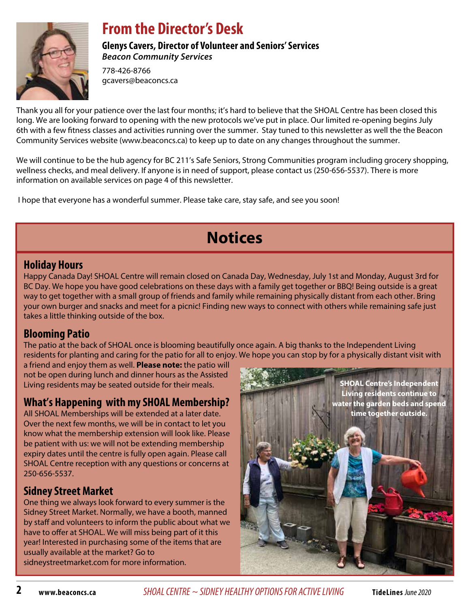

## **From the Director's Desk**

**Glenys Cavers, Director of Volunteer and Seniors' Services** *Beacon Community Services*

778-426-8766 gcavers@beaconcs.ca

Thank you all for your patience over the last four months; it's hard to believe that the SHOAL Centre has been closed this long. We are looking forward to opening with the new protocols we've put in place. Our limited re-opening begins July 6th with a few fitness classes and activities running over the summer. Stay tuned to this newsletter as well the the Beacon Community Services website (www.beaconcs.ca) to keep up to date on any changes throughout the summer.

We will continue to be the hub agency for BC 211's Safe Seniors, Strong Communities program including grocery shopping, wellness checks, and meal delivery. If anyone is in need of support, please contact us (250-656-5537). There is more information on available services on page 4 of this newsletter.

I hope that everyone has a wonderful summer. Please take care, stay safe, and see you soon!

# **Notices**

#### **Holiday Hours**

Happy Canada Day! SHOAL Centre will remain closed on Canada Day, Wednesday, July 1st and Monday, August 3rd for BC Day. We hope you have good celebrations on these days with a family get together or BBQ! Being outside is a great way to get together with a small group of friends and family while remaining physically distant from each other. Bring your own burger and snacks and meet for a picnic! Finding new ways to connect with others while remaining safe just takes a little thinking outside of the box.

## **Blooming Patio**

The patio at the back of SHOAL once is blooming beautifully once again. A big thanks to the Independent Living residents for planting and caring for the patio for all to enjoy. We hope you can stop by for a physically distant visit with

a friend and enjoy them as well. **Please note:** the patio will not be open during lunch and dinner hours as the Assisted Living residents may be seated outside for their meals.

## **What's Happening with my SHOAL Membership?**

All SHOAL Memberships will be extended at a later date. Over the next few months, we will be in contact to let you know what the membership extension will look like. Please be patient with us: we will not be extending membership expiry dates until the centre is fully open again. Please call SHOAL Centre reception with any questions or concerns at 250-656-5537.

## **Sidney Street Market**

One thing we always look forward to every summer is the Sidney Street Market. Normally, we have a booth, manned by staff and volunteers to inform the public about what we have to offer at SHOAL. We will miss being part of it this year! Interested in purchasing some of the items that are usually available at the market? Go to sidneystreetmarket.com for more information.

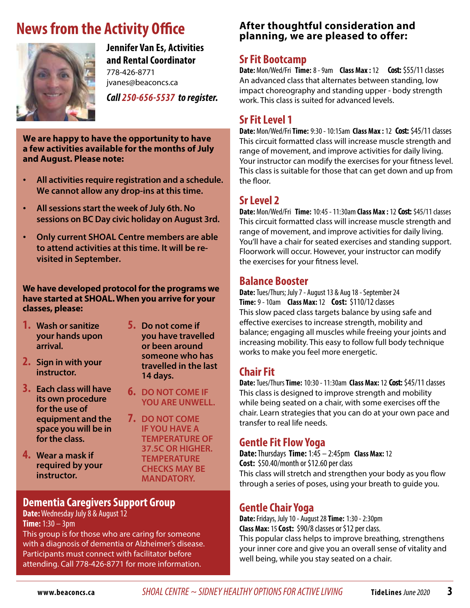# **News from the Activity Office**



**Jennifer Van Es, Activities and Rental Coordinator** 778-426-8771

jvanes@beaconcs.ca

*Call 250-656-5537 to register.* 

**We are happy to have the opportunity to have a few activities available for the months of July and August. Please note:**

- • **All activities require registration and a schedule. We cannot allow any drop-ins at this time.**
- • **All sessions start the week of July 6th. No sessions on BC Day civic holiday on August 3rd.**
- • **Only current SHOAL Centre members are able to attend activities at this time. It will be revisited in September.**

**We have developed protocol for the programs we have started at SHOAL. When you arrive for your classes, please:**

- **1. Wash or sanitize your hands upon arrival.**
- **2. Sign in with your instructor.**
- **3. Each class will have its own procedure for the use of equipment and the space you will be in for the class.**
- **4. Wear a mask if required by your instructor.**
- **5. Do not come if you have travelled or been around someone who has travelled in the last 14 days.**
- **6. DO NOT COME IF YOU ARE UNWELL.**
- **7. DO NOT COME IF YOU HAVE A TEMPERATURE OF 37.5C OR HIGHER. TEMPERATURE CHECKS MAY BE MANDATORY.**

#### **Dementia Caregivers Support Group**

**Date:** Wednesday July 8 & August 12 **Time:** 1:30 – 3pm

This group is for those who are caring for someone with a diagnosis of dementia or Alzheimer's disease. Participants must connect with facilitator before attending. Call 778-426-8771 for more information.

#### **After thoughtful consideration and planning, we are pleased to offer:**

#### **Sr Fit Bootcamp**

**Date:** Mon/Wed/Fri **Time:** 8 - 9am **Class Max :** 12 **Cost:** \$55/11 classes An advanced class that alternates between standing, low impact choreography and standing upper - body strength work. This class is suited for advanced levels.

### **Sr Fit Level 1**

**Date:** Mon/Wed/Fri **Time:** 9:30 - 10:15am **Class Max :** 12 **Cost:** \$45/11 classes This circuit formatted class will increase muscle strength and range of movement, and improve activities for daily living. Your instructor can modify the exercises for your fitness level. This class is suitable for those that can get down and up from the floor.

#### **Sr Level 2**

**Date:** Mon/Wed/Fri **Time:** 10:45 - 11:30am **Class Max :** 12 **Cost:** \$45/11 classes This circuit formatted class will increase muscle strength and range of movement, and improve activities for daily living. You'll have a chair for seated exercises and standing support. Floorwork will occur. However, your instructor can modify the exercises for your fitness level.

#### **Balance Booster**

**Date:** Tues/Thurs; July 7 - August 13 & Aug 18 - September 24 **Time:** 9 - 10am **Class Max:** 12**Cost:** \$110/12 classes This slow paced class targets balance by using safe and effective exercises to increase strength, mobility and balance; engaging all muscles while freeing your joints and increasing mobility. This easy to follow full body technique works to make you feel more energetic.

## **Chair Fit**

**Date:** Tues/Thurs **Time:** 10:30 - 11:30am **Class Max:** 12**Cost:** \$45/11 classes This class is designed to improve strength and mobility while being seated on a chair, with some exercises off the chair. Learn strategies that you can do at your own pace and transfer to real life needs.

## **Gentle Fit Flow Yoga**

**Date:** Thursdays **Time:** 1:45 – 2:45pm **Class Max:** 12 **Cost:** \$50.40/month or \$12.60 per class This class will stretch and strengthen your body as you flow through a series of poses, using your breath to guide you.

#### **Gentle Chair Yoga**

**Date:** Fridays, July 10 - August 28 **Time:** 1:30 - 2:30pm **Class Max:** 15**Cost:** \$90/8 classes or \$12 per class. This popular class helps to improve breathing, strengthens your inner core and give you an overall sense of vitality and well being, while you stay seated on a chair.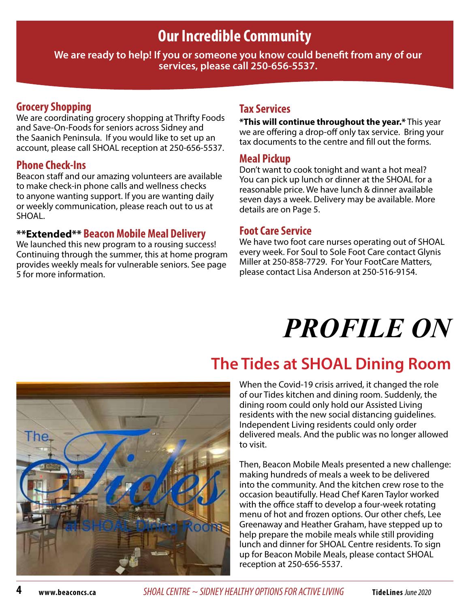# **Our Incredible Community**

**We are ready to help! If you or someone you know could benefit from any of our services, please call 250-656-5537.**

### **Grocery Shopping**

We are coordinating grocery shopping at Thrifty Foods and Save-On-Foods for seniors across Sidney and the Saanich Peninsula. If you would like to set up an account, please call SHOAL reception at 250-656-5537.

#### **Phone Check-Ins**

Beacon staff and our amazing volunteers are available to make check-in phone calls and wellness checks to anyone wanting support. If you are wanting daily or weekly communication, please reach out to us at SHOAL.

#### **\*\*Extended\*\* Beacon Mobile Meal Delivery**

We launched this new program to a rousing success! Continuing through the summer, this at home program provides weekly meals for vulnerable seniors. See page 5 for more information.

### **Tax Services**

**\*This will continue throughout the year.\*** This year we are offering a drop-off only tax service. Bring your tax documents to the centre and fill out the forms.

#### **Meal Pickup**

Don't want to cook tonight and want a hot meal? You can pick up lunch or dinner at the SHOAL for a reasonable price. We have lunch & dinner available seven days a week. Delivery may be available. More details are on Page 5.

#### **Foot Care Service**

We have two foot care nurses operating out of SHOAL every week. For Soul to Sole Foot Care contact Glynis Miller at 250-858-7729. For Your FootCare Matters, please contact Lisa Anderson at 250-516-9154.

# *PROFILE ON*

# **The Tides at SHOAL Dining Room**

When the Covid-19 crisis arrived, it changed the role of our Tides kitchen and dining room. Suddenly, the dining room could only hold our Assisted Living residents with the new social distancing guidelines. Independent Living residents could only order delivered meals. And the public was no longer allowed to visit.

Then, Beacon Mobile Meals presented a new challenge: making hundreds of meals a week to be delivered into the community. And the kitchen crew rose to the occasion beautifully. Head Chef Karen Taylor worked with the office staff to develop a four-week rotating menu of hot and frozen options. Our other chefs, Lee Greenaway and Heather Graham, have stepped up to help prepare the mobile meals while still providing lunch and dinner for SHOAL Centre residents. To sign up for Beacon Mobile Meals, please contact SHOAL reception at 250-656-5537.

**4 www.beaconcs.ca** *SHOAL CENTRE ~ SIDNEY HEALTHY OPTIONS FOR ACTIVE LIVING* **TideLines** June 2020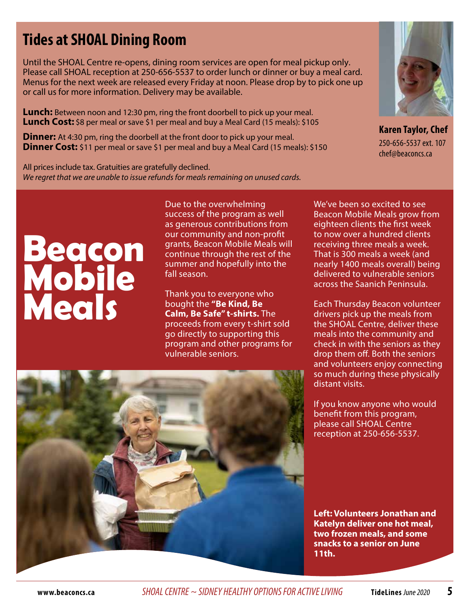# **Tides at SHOAL Dining Room**

Until the SHOAL Centre re-opens, dining room services are open for meal pickup only. Please call SHOAL reception at 250-656-5537 to order lunch or dinner or buy a meal card. Menus for the next week are released every Friday at noon. Please drop by to pick one up or call us for more information. Delivery may be available.

**Lunch:** Between noon and 12:30 pm, ring the front doorbell to pick up your meal. **Lunch Cost:** \$8 per meal or save \$1 per meal and buy a Meal Card (15 meals): \$105

**Dinner:** At 4:30 pm, ring the doorbell at the front door to pick up your meal. **Dinner Cost:** \$11 per meal or save \$1 per meal and buy a Meal Card (15 meals): \$150

All prices include tax. Gratuities are gratefully declined. *We regret that we are unable to issue refunds for meals remaining on unused cards.*



**Karen Taylor, Chef**  250-656-5537 ext. 107 chef@beaconcs.ca

# **Beacon Mobile Meals**

Due to the overwhelming success of the program as well as generous contributions from our community and non-profit grants, Beacon Mobile Meals will continue through the rest of the summer and hopefully into the fall season.

Thank you to everyone who bought the **"Be Kind, Be Calm, Be Safe" t-shirts.** The proceeds from every t-shirt sold go directly to supporting this program and other programs for vulnerable seniors.

We've been so excited to see Beacon Mobile Meals grow from eighteen clients the first week to now over a hundred clients receiving three meals a week. That is 300 meals a week (and nearly 1400 meals overall) being delivered to vulnerable seniors across the Saanich Peninsula.

Each Thursday Beacon volunteer drivers pick up the meals from the SHOAL Centre, deliver these meals into the community and check in with the seniors as they drop them off. Both the seniors and volunteers enjoy connecting so much during these physically distant visits.

If you know anyone who would benefit from this program, please call SHOAL Centre reception at 250-656-5537.



**Left: Volunteers Jonathan and Katelyn deliver one hot meal, two frozen meals, and some snacks to a senior on June 11th.**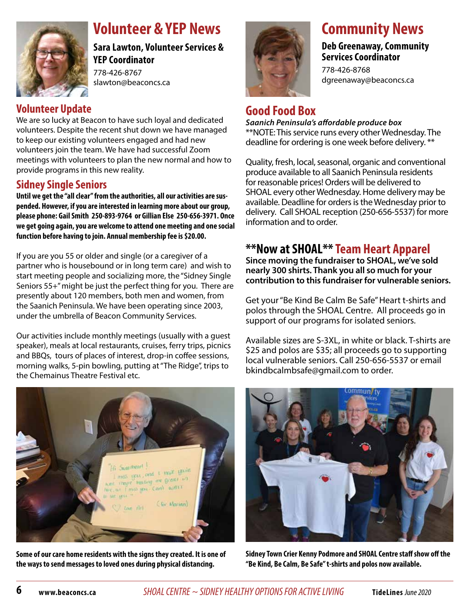

# **Volunteer & YEP News**

**Sara Lawton, Volunteer Services & YEP Coordinator**  778-426-8767

slawton@beaconcs.ca

## **Volunteer Update**

We are so lucky at Beacon to have such loyal and dedicated volunteers. Despite the recent shut down we have managed to keep our existing volunteers engaged and had new volunteers join the team. We have had successful Zoom meetings with volunteers to plan the new normal and how to provide programs in this new reality.

## **Sidney Single Seniors**

**Until we get the "all clear" from the authorities, all our activities are suspended. However, if you are interested in learning more about our group, please phone: Gail Smith 250-893-9764 or Gillian Else 250-656-3971. Once we get going again, you are welcome to attend one meeting and one social function before having to join. Annual membership fee is \$20.00.** 

If you are you 55 or older and single (or a caregiver of a partner who is housebound or in long term care) and wish to start meeting people and socializing more, the "Sidney Single Seniors 55+" might be just the perfect thing for you. There are presently about 120 members, both men and women, from the Saanich Peninsula. We have been operating since 2003, under the umbrella of Beacon Community Services.

Our activities include monthly meetings (usually with a guest speaker), meals at local restaurants, cruises, ferry trips, picnics and BBQs, tours of places of interest, drop-in coffee sessions, morning walks, 5-pin bowling, putting at "The Ridge", trips to the Chemainus Theatre Festival etc.



# **Community News**

#### **Deb Greenaway, Community Services Coordinator**

778-426-8768 dgreenaway@beaconcs.ca

## **Good Food Box**

*Saanich Peninsula's affordable produce box* \*\*NOTE: This service runs every other Wednesday. The deadline for ordering is one week before delivery. \*\*

Quality, fresh, local, seasonal, organic and conventional produce available to all Saanich Peninsula residents for reasonable prices! Orders will be delivered to SHOAL every other Wednesday. Home delivery may be available. Deadline for orders is the Wednesday prior to delivery. Call SHOAL reception (250-656-5537) for more information and to order.

## **\*\*Now at SHOAL\*\*Team Heart Apparel**

**Since moving the fundraiser to SHOAL, we've sold nearly 300 shirts. Thank you all so much for your contribution to this fundraiser for vulnerable seniors.** 

Get your "Be Kind Be Calm Be Safe" Heart t-shirts and polos through the SHOAL Centre. All proceeds go in support of our programs for isolated seniors.

Available sizes are S-3XL, in white or black. T-shirts are \$25 and polos are \$35; all proceeds go to supporting local vulnerable seniors. Call 250-656-5537 or email bkindbcalmbsafe@gmail.com to order.



**Some of our care home residents with the signs they created. It is one of the ways to send messages to loved ones during physical distancing.**



**Sidney Town Crier Kenny Podmore and SHOAL Centre staff show off the "Be Kind, Be Calm, Be Safe" t-shirts and polos now available.**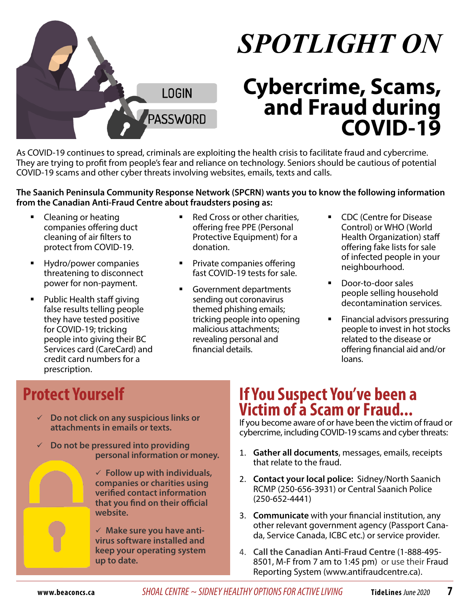

# *SPOTLIGHT ON*

# **Cybercrime, Scams, and Fraud during COVID-19**

As COVID-19 continues to spread, criminals are exploiting the health crisis to facilitate fraud and cybercrime. They are trying to profit from people's fear and reliance on technology. Seniors should be cautious of potential COVID-19 scams and other cyber threats involving websites, emails, texts and calls.

#### **The Saanich Peninsula Community Response Network (SPCRN) wants you to know the following information from the Canadian Anti-Fraud Centre about fraudsters posing as:**

- Cleaning or heating companies offering duct cleaning of air filters to protect from COVID-19.
- Hydro/power companies threatening to disconnect power for non-payment.
- Public Health staff giving false results telling people they have tested positive for COVID-19; tricking people into giving their BC Services card (CareCard) and credit card numbers for a prescription.
- Red Cross or other charities, offering free PPE (Personal Protective Equipment) for a donation.
- Private companies offering fast COVID-19 tests for sale.
- Government departments sending out coronavirus themed phishing emails; tricking people into opening malicious attachments; revealing personal and financial details.
- CDC (Centre for Disease Control) or WHO (World Health Organization) staff offering fake lists for sale of infected people in your neighbourhood.
- Door-to-door sales people selling household decontamination services.
- Financial advisors pressuring people to invest in hot stocks related to the disease or offering financial aid and/or loans.

# **Protect Yourself**

- **Do not click on any suspicious links or attachments in emails or texts.**
- **Do not be pressured into providing personal information or money.**

 **Follow up with individuals, companies or charities using verified contact information that you find on their official website.**

 **Make sure you have antivirus software installed and keep your operating system up to date.**

# **If You Suspect You've been a Victim of a Scam or Fraud...**

If you become aware of or have been the victim of fraud or cybercrime, including COVID-19 scams and cyber threats:

- 1. **Gather all documents**, messages, emails, receipts that relate to the fraud.
- 2. **Contact your local police:** Sidney/North Saanich RCMP (250-656-3931) or Central Saanich Police (250-652-4441)
- 3. **Communicate** with your financial institution, any other relevant government agency (Passport Canada, Service Canada, ICBC etc.) or service provider.
- 4. **Call the Canadian Anti-Fraud Centre** (1-888-495- 8501, M-F from 7 am to 1:45 pm) or use their Fraud Reporting System (www.antifraudcentre.ca).